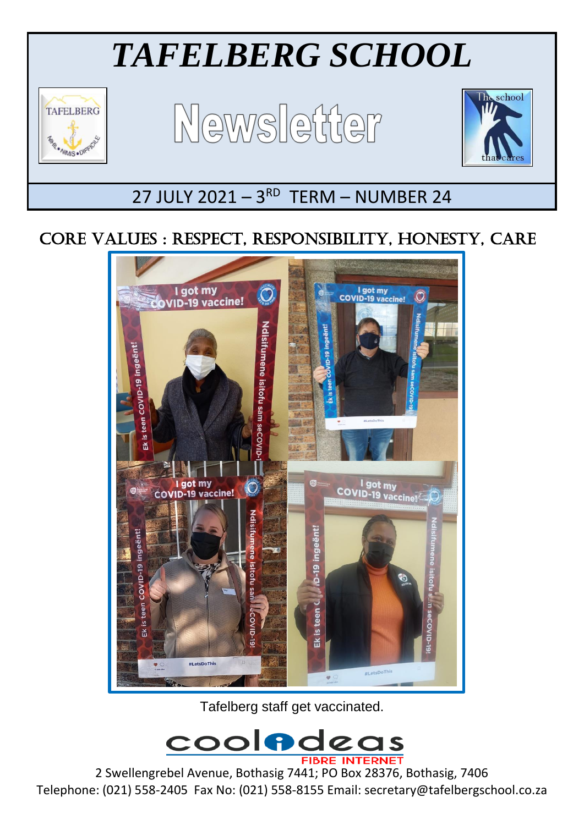# *TAFELBERG SCHOOL*



Ξ

Newsletter



## 27 JULY 2021 - 3RD TERM - NUMBER 24

### CORE VALUES : RESPECT, RESPONSIBILITY, HONESTY, CARE



Tafelberg staff get vaccinated.



2 Swellengrebel Avenue, Bothasig 7441; PO Box 28376, Bothasig, 7406 Telephone: (021) 558-2405 Fax No: (021) 558-8155 Email: secretary@tafelbergschool.co.za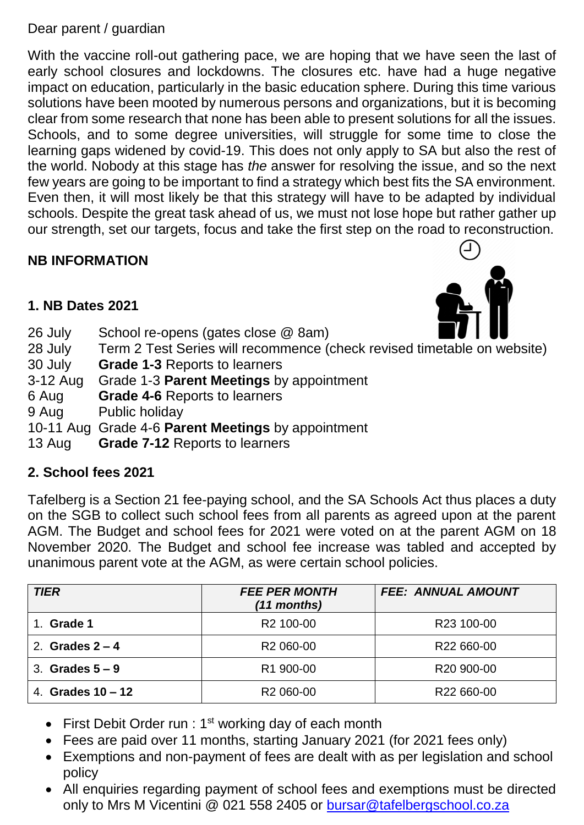#### Dear parent / guardian

With the vaccine roll-out gathering pace, we are hoping that we have seen the last of early school closures and lockdowns. The closures etc. have had a huge negative impact on education, particularly in the basic education sphere. During this time various solutions have been mooted by numerous persons and organizations, but it is becoming clear from some research that none has been able to present solutions for all the issues. Schools, and to some degree universities, will struggle for some time to close the learning gaps widened by covid-19. This does not only apply to SA but also the rest of the world. Nobody at this stage has *the* answer for resolving the issue, and so the next few years are going to be important to find a strategy which best fits the SA environment. Even then, it will most likely be that this strategy will have to be adapted by individual schools. Despite the great task ahead of us, we must not lose hope but rather gather up our strength, set our targets, focus and take the first step on the road to reconstruction.

#### **NB INFORMATION**



#### **1. NB Dates 2021**

| 26 July    | V ZVA<br>School re-opens (gates close @ 8am)                            |  |  |
|------------|-------------------------------------------------------------------------|--|--|
| 28 July    | Term 2 Test Series will recommence (check revised timetable on website) |  |  |
| 30 July    | <b>Grade 1-3 Reports to learners</b>                                    |  |  |
| $3-12$ Aug | Grade 1-3 Parent Meetings by appointment                                |  |  |
| 6 Aug      | <b>Grade 4-6 Reports to learners</b>                                    |  |  |
| 9 Aug      | Public holiday                                                          |  |  |
|            | 10-11 Aug Grade 4-6 Parent Meetings by appointment                      |  |  |
| 13 Aug     | <b>Grade 7-12 Reports to learners</b>                                   |  |  |

#### **2. School fees 2021**

Tafelberg is a Section 21 fee-paying school, and the SA Schools Act thus places a duty on the SGB to collect such school fees from all parents as agreed upon at the parent AGM. The Budget and school fees for 2021 were voted on at the parent AGM on 18 November 2020. The Budget and school fee increase was tabled and accepted by unanimous parent vote at the AGM, as were certain school policies.

| <b>TIER</b>         | <b>FEE PER MONTH</b><br>(11 months) | <b>FEE: ANNUAL AMOUNT</b> |
|---------------------|-------------------------------------|---------------------------|
| Grade 1             | R <sub>2</sub> 100-00               | R <sub>23</sub> 100-00    |
| 2. Grades $2 - 4$   | R <sub>2</sub> 060-00               | R22 660-00                |
| 3. Grades $5-9$     | R1 900-00                           | R <sub>20</sub> 900-00    |
| 4. Grades $10 - 12$ | R <sub>2</sub> 060-00               | R22 660-00                |

- First Debit Order run :  $1<sup>st</sup>$  working day of each month
- Fees are paid over 11 months, starting January 2021 (for 2021 fees only)
- Exemptions and non-payment of fees are dealt with as per legislation and school policy
- All enquiries regarding payment of school fees and exemptions must be directed only to Mrs M Vicentini @ 021 558 2405 or [bursar@tafelbergschool.co.za](mailto:bursar@tafelbergschool.co.za)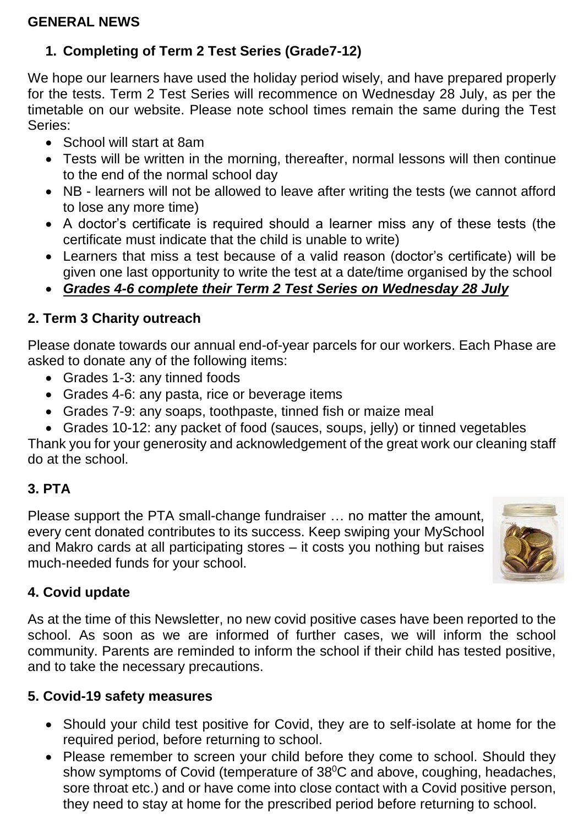#### **GENERAL NEWS**

#### **1. Completing of Term 2 Test Series (Grade7-12)**

We hope our learners have used the holiday period wisely, and have prepared properly for the tests. Term 2 Test Series will recommence on Wednesday 28 July, as per the timetable on our website. Please note school times remain the same during the Test Series:

- School will start at 8am
- Tests will be written in the morning, thereafter, normal lessons will then continue to the end of the normal school day
- NB learners will not be allowed to leave after writing the tests (we cannot afford to lose any more time)
- A doctor's certificate is required should a learner miss any of these tests (the certificate must indicate that the child is unable to write)
- Learners that miss a test because of a valid reason (doctor's certificate) will be given one last opportunity to write the test at a date/time organised by the school
- *Grades 4-6 complete their Term 2 Test Series on Wednesday 28 July*

#### **2. Term 3 Charity outreach**

Please donate towards our annual end-of-year parcels for our workers. Each Phase are asked to donate any of the following items:

- Grades 1-3: any tinned foods
- Grades 4-6: any pasta, rice or beverage items
- Grades 7-9: any soaps, toothpaste, tinned fish or maize meal
- Grades 10-12: any packet of food (sauces, soups, jelly) or tinned vegetables

Thank you for your generosity and acknowledgement of the great work our cleaning staff do at the school.

#### **3. PTA**

Please support the PTA small-change fundraiser … no matter the amount, every cent donated contributes to its success. Keep swiping your MySchool and Makro cards at all participating stores – it costs you nothing but raises much-needed funds for your school.



#### **4. Covid update**

As at the time of this Newsletter, no new covid positive cases have been reported to the school. As soon as we are informed of further cases, we will inform the school community. Parents are reminded to inform the school if their child has tested positive, and to take the necessary precautions.

#### **5. Covid-19 safety measures**

- Should your child test positive for Covid, they are to self-isolate at home for the required period, before returning to school.
- Please remember to screen your child before they come to school. Should they show symptoms of Covid (temperature of 38<sup>°</sup>C and above, coughing, headaches, sore throat etc.) and or have come into close contact with a Covid positive person, they need to stay at home for the prescribed period before returning to school.